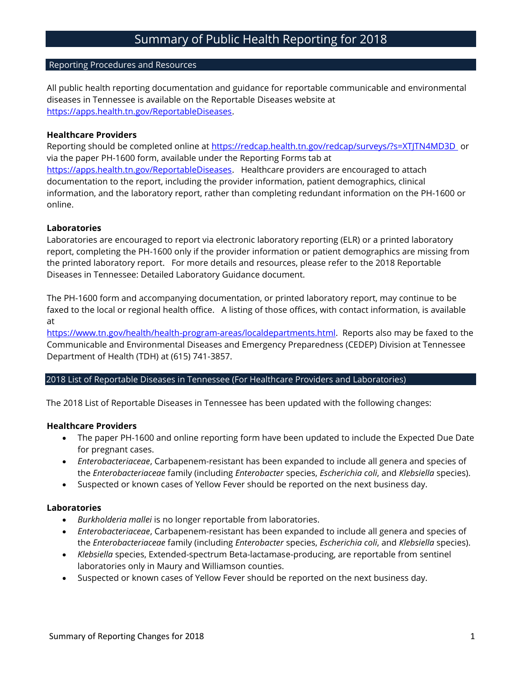# Reporting Procedures and Resources

All public health reporting documentation and guidance for reportable communicable and environmental diseases in Tennessee is available on the Reportable Diseases website at [https://apps.health.tn.gov/ReportableDiseases.](https://apps.health.tn.gov/ReportableDiseases)

# **Healthcare Providers**

Reporting should be completed online at<https://redcap.health.tn.gov/redcap/surveys/?s=XTJTN4MD3D> or via the paper PH-1600 form, available under the Reporting Forms tab at [https://apps.health.tn.gov/ReportableDiseases.](https://apps.health.tn.gov/ReportableDiseases) Healthcare providers are encouraged to attach documentation to the report, including the provider information, patient demographics, clinical information, and the laboratory report, rather than completing redundant information on the PH-1600 or online.

#### **Laboratories**

Laboratories are encouraged to report via electronic laboratory reporting (ELR) or a printed laboratory report, completing the PH-1600 only if the provider information or patient demographics are missing from the printed laboratory report. For more details and resources, please refer to the 2018 Reportable Diseases in Tennessee: Detailed Laboratory Guidance document.

The PH-1600 form and accompanying documentation, or printed laboratory report, may continue to be faxed to the local or regional health office. A listing of those offices, with contact information, is available at

[https://www.tn.gov/health/health-program-areas/localdepartments.html.](https://www.tn.gov/health/health-program-areas/localdepartments.html) Reports also may be faxed to the Communicable and Environmental Diseases and Emergency Preparedness (CEDEP) Division at Tennessee Department of Health (TDH) at (615) 741-3857.

# 2018 List of Reportable Diseases in Tennessee (For Healthcare Providers and Laboratories)

The 2018 List of Reportable Diseases in Tennessee has been updated with the following changes:

# **Healthcare Providers**

- The paper PH-1600 and online reporting form have been updated to include the Expected Due Date for pregnant cases.
- *Enterobacteriaceae*, Carbapenem-resistant has been expanded to include all genera and species of the *Enterobacteriaceae* family (including *Enterobacter* species, *Escherichia coli*, and *Klebsiella* species).
- Suspected or known cases of Yellow Fever should be reported on the next business day.

#### **Laboratories**

- *Burkholderia mallei* is no longer reportable from laboratories.
- *Enterobacteriaceae*, Carbapenem-resistant has been expanded to include all genera and species of the *Enterobacteriaceae* family (including *Enterobacter* species, *Escherichia coli*, and *Klebsiella* species).
- *Klebsiella* species, Extended-spectrum Beta-lactamase-producing, are reportable from sentinel laboratories only in Maury and Williamson counties.
- Suspected or known cases of Yellow Fever should be reported on the next business day.